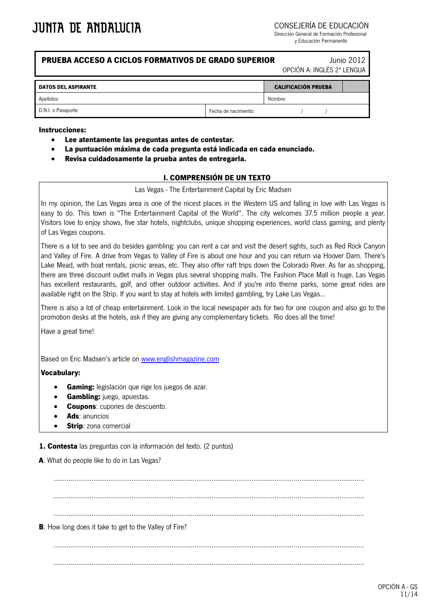CONSEJERÍA DE EDUCACIÓN

Dirección General de Formación Profesional y Educación Permanente

### **PRUEBA ACCESO A CICLOS FORMATIVOS DE GRADO SUPERIOR** Junio 2012

OPCIÓN A: INGLÉS 2ª LENGUA

| <b>DATOS DEL ASPIRANTE</b> |                      | <b>CALIFICACIÓN PRUEBA</b> |  |  |  |
|----------------------------|----------------------|----------------------------|--|--|--|
| Apellidos:                 |                      | Nombre:                    |  |  |  |
| D.N.I. o Pasaporte:        | Fecha de nacimiento: |                            |  |  |  |

#### **Instrucciones:**

- **Lee atentamente las preguntas antes de contestar.**
- **La puntuación máxima de cada pregunta está indicada en cada enunciado.**
- **Revisa cuidadosamente la prueba antes de entregarla.**

## **I. COMPRENSIÓN DE UN TEXTO**

Las Vegas - The Entertainment Capital by Eric Madsen

In my opinion, the Las Vegas area is one of the nicest places in the Western US and falling in love with Las Vegas is easy to do. This town is "The Entertainment Capital of the World". The city welcomes 37.5 million people a year. Visitors love to enjoy shows, five star hotels, nightclubs, unique shopping experiences, world class gaming, and plenty of Las Vegas coupons.

There is a lot to see and do besides gambling: you can rent a car and visit the desert sights, such as Red Rock Canyon and Valley of Fire. A drive from Vegas to Valley of Fire is about one hour and you can return via Hoover Dam. There's Lake Mead, with boat rentals, picnic areas, etc. They also offer raft trips down the Colorado River. As far as shopping, there are three discount outlet malls in Vegas plus several shopping malls. The Fashion Place Mall is huge. Las Vegas has excellent restaurants, golf, and other outdoor activities. And if you're into theme parks, some great rides are available right on the Strip. If you want to stay at hotels with limited gambling, try Lake Las Vegas...

There is also a lot of cheap entertainment. Look in the local newspaper ads for two for one coupon and also go to the promotion desks at the hotels, ask if they are giving any complementary tickets. Rio does all the time!

Have a great time!

Based on Eric Madsen's article on [www.englishmagazine.com](http://www.englishmagazine.com/)

#### **Vocabulary:**

- **Gaming:** legislación que rige los juegos de azar.
- **Gambling:** juego, apuestas.
- **Coupons**: cupones de descuento.
- **Ads**: anuncios
- **Strip**: zona comercial

**1. Contesta** las preguntas con la información del texto. (2 puntos)

**A**. What do people like to do in Las Vegas?

................................................................................................................................................................... ................................................................................................................................................................... ................................................................................................................................................................... **B**. How long does it take to get to the Valley of Fire? ................................................................................................................................................................... ...................................................................................................................................................................